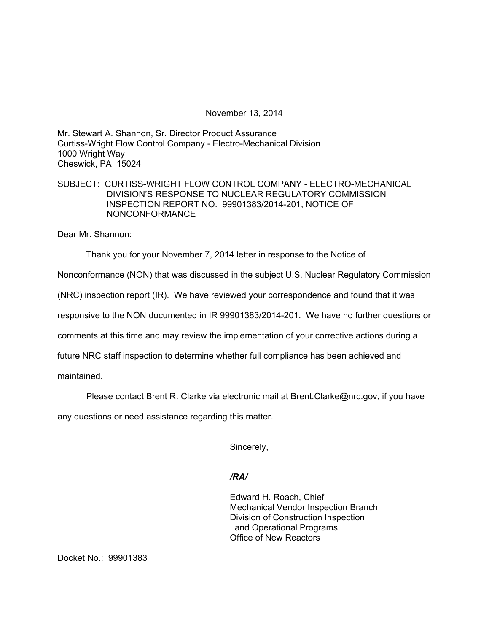November 13, 2014

Mr. Stewart A. Shannon, Sr. Director Product Assurance Curtiss-Wright Flow Control Company - Electro-Mechanical Division 1000 Wright Way Cheswick, PA 15024

# SUBJECT: CURTISS-WRIGHT FLOW CONTROL COMPANY - ELECTRO-MECHANICAL DIVISION'S RESPONSE TO NUCLEAR REGULATORY COMMISSION INSPECTION REPORT NO. 99901383/2014-201, NOTICE OF NONCONFORMANCE

Dear Mr. Shannon:

Thank you for your November 7, 2014 letter in response to the Notice of

Nonconformance (NON) that was discussed in the subject U.S. Nuclear Regulatory Commission

(NRC) inspection report (IR). We have reviewed your correspondence and found that it was

responsive to the NON documented in IR 99901383/2014-201. We have no further questions or

comments at this time and may review the implementation of your corrective actions during a

future NRC staff inspection to determine whether full compliance has been achieved and

maintained.

Please contact Brent R. Clarke via electronic mail at Brent.Clarke@nrc.gov, if you have

any questions or need assistance regarding this matter.

Sincerely,

## */RA/*

Edward H. Roach, Chief Mechanical Vendor Inspection Branch Division of Construction Inspection and Operational Programs Office of New Reactors

Docket No.: 99901383